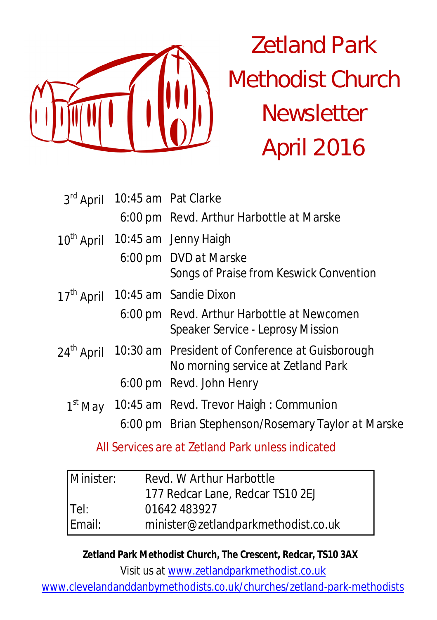

# Zetland Park Methodist Church **Newsletter** April 2016

|                        | 3rd April 10:45 am Pat Clarke                                                         |
|------------------------|---------------------------------------------------------------------------------------|
|                        | 6:00 pm Revd. Arthur Harbottle at Marske                                              |
|                        | 10 <sup>th</sup> April 10:45 am Jenny Haigh                                           |
|                        | 6:00 pm DVD at Marske<br>Songs of Praise from Keswick Convention                      |
|                        | 17 <sup>th</sup> April 10:45 am Sandie Dixon                                          |
|                        | 6:00 pm Revd. Arthur Harbottle at Newcomen<br>Speaker Service - Leprosy Mission       |
| 24 <sup>th</sup> April | 10:30 am President of Conference at Guisborough<br>No morning service at Zetland Park |
|                        | 6:00 pm Revd. John Henry                                                              |
|                        | 1st May 10:45 am Revd. Trevor Haigh : Communion                                       |
|                        | 6:00 pm Brian Stephenson/Rosemary Taylor at Marske                                    |

All Services are at Zetland Park unless indicated

| Minister: | Revd. W Arthur Harbottle            |
|-----------|-------------------------------------|
|           | 177 Redcar Lane, Redcar TS10 2EJ    |
| $ $ Tel:  | 01642 483927                        |
| Email:    | minister@zetlandparkmethodist.co.uk |

**Zetland Park Methodist Church, The Crescent, Redcar, TS10 3AX**

Visit us at www.zetlandparkmethodist.co.uk

www.clevelandanddanbymethodists.co.uk/churches/zetland-park-methodists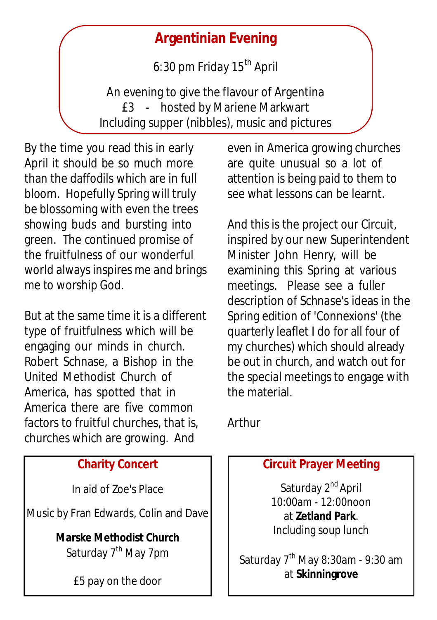# **Argentinian Evening**

6:30 pm Friday  $15<sup>th</sup>$  April

An evening to give the flavour of Argentina £3 - hosted by Mariene Markwart Including supper (nibbles), music and pictures

By the time you read this in early April it should be so much more than the daffodils which are in full bloom. Hopefully Spring will truly be blossoming with even the trees showing buds and bursting into green. The continued promise of the fruitfulness of our wonderful world always inspires me and brings me to worship God.

But at the same time it is a different type of fruitfulness which will be engaging our minds in church. Robert Schnase, a Bishop in the United Methodist Church of America, has spotted that in America there are five common factors to fruitful churches, that is, churches which are growing. And

### **Charity Concert**

In aid of Zoe's Place

Music by Fran Edwards, Colin and Dave

**Marske Methodist Church**

Saturday 7<sup>th</sup> May 7pm

£5 pay on the door

even in America growing churches are quite unusual so a lot of attention is being paid to them to see what lessons can be learnt.

And this is the project our Circuit, inspired by our new Superintendent Minister John Henry, will be examining this Spring at various meetings. Please see a fuller description of Schnase's ideas in the Spring edition of 'Connexions' (the quarterly leaflet I do for all four of my churches) which should already be out in church, and watch out for the special meetings to engage with the material.

Arthur

## **Circuit Prayer Meeting**

Saturday 2<sup>nd</sup> April 10:00am - 12:00noon at **Zetland Park**. Including soup lunch

Saturday  $7<sup>th</sup>$  May 8:30am - 9:30 am at **Skinningrove**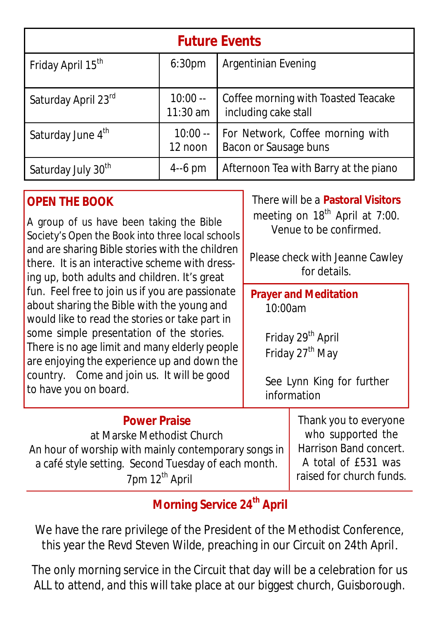| <b>Future Events</b>           |                         |                                                             |  |  |  |
|--------------------------------|-------------------------|-------------------------------------------------------------|--|--|--|
| Friday April 15 <sup>th</sup>  | 6:30 <sub>pm</sub>      | Argentinian Evening                                         |  |  |  |
| Saturday April 23rd            | $10:00 -$<br>$11:30$ am | Coffee morning with Toasted Teacake<br>including cake stall |  |  |  |
| Saturday June 4th              | $10:00 -$<br>12 noon    | For Network, Coffee morning with<br>Bacon or Sausage buns   |  |  |  |
| Saturday July 30 <sup>th</sup> | $4-6$ pm                | Afternoon Tea with Barry at the piano                       |  |  |  |

## **OPEN THE BOOK**

A group of us have been taking the Bible Society's Open the Book into three local schools and are sharing Bible stories with the children there. It is an interactive scheme with dressing up, both adults and children. It's great fun. Feel free to join us if you are passionate about sharing the Bible with the young and would like to read the stories or take part in some simple presentation of the stories. There is no age limit and many elderly people are enjoying the experience up and down the country. Come and join us. It will be good to have you on board.

There will be a **Pastoral Visitors** meeting on  $18<sup>th</sup>$  April at 7:00. Venue to be confirmed.

Please check with Jeanne Cawley for details.

**Prayer and Meditation**  10:00am

> Friday 29<sup>th</sup> April Friday 27<sup>th</sup> May

See Lynn King for further information

**Power Praise** at Marske Methodist Church An hour of worship with mainly contemporary songs in a café style setting. Second Tuesday of each month. 7pm 12<sup>th</sup> April

Thank you to everyone who supported the Harrison Band concert. A total of £531 was raised for church funds.

## **Morning Service 24th April**

We have the rare privilege of the President of the Methodist Conference, this year the Revd Steven Wilde, preaching in our Circuit on 24th April.

The only morning service in the Circuit that day will be a celebration for us ALL to attend, and this will take place at our biggest church, Guisborough.